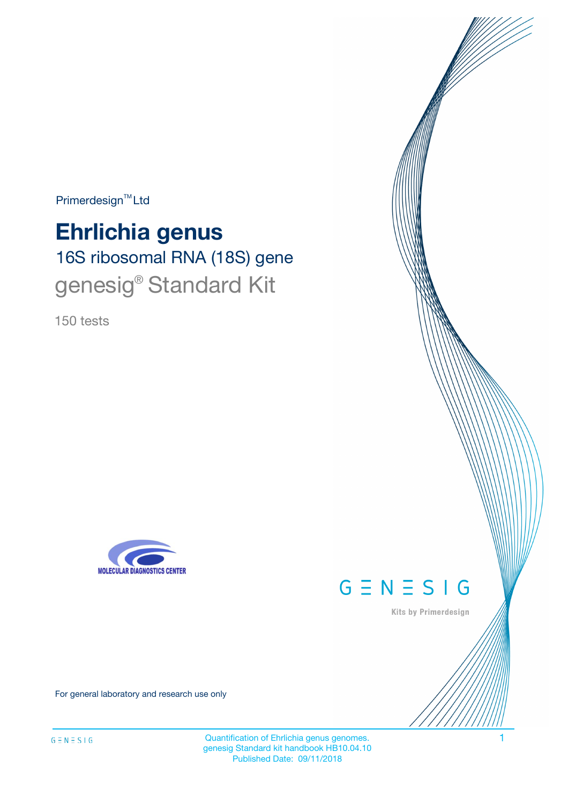Primerdesign<sup>™</sup>Ltd

# 16S ribosomal RNA (18S) gene **Ehrlichia genus** genesig® Standard Kit

150 tests





Kits by Primerdesign

For general laboratory and research use only

Quantification of Ehrlichia genus genomes. 1 genesig Standard kit handbook HB10.04.10 Published Date: 09/11/2018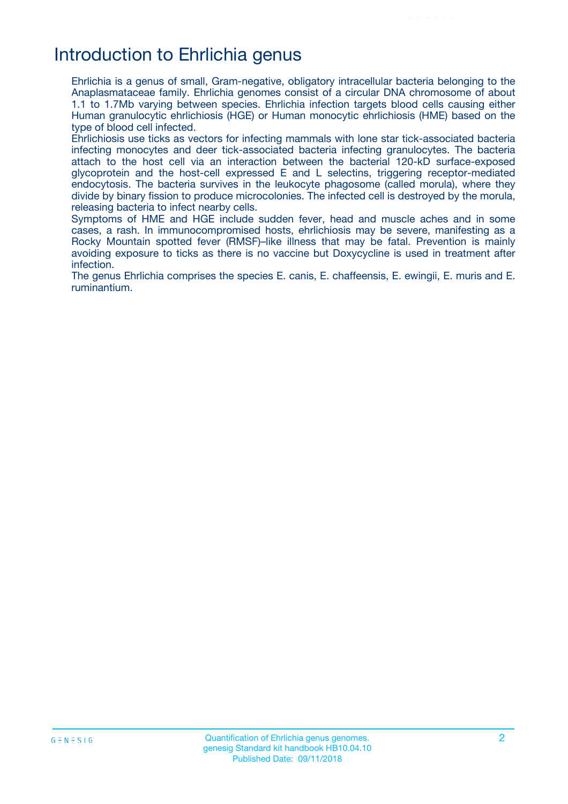# Introduction to Ehrlichia genus

Ehrlichia is a genus of small, Gram-negative, obligatory intracellular bacteria belonging to the Anaplasmataceae family. Ehrlichia genomes consist of a circular DNA chromosome of about 1.1 to 1.7Mb varying between species. Ehrlichia infection targets blood cells causing either Human granulocytic ehrlichiosis (HGE) or Human monocytic ehrlichiosis (HME) based on the type of blood cell infected.

Ehrlichiosis use ticks as vectors for infecting mammals with lone star tick-associated bacteria infecting monocytes and deer tick-associated bacteria infecting granulocytes. The bacteria attach to the host cell via an interaction between the bacterial 120-kD surface-exposed glycoprotein and the host-cell expressed E and L selectins, triggering receptor-mediated endocytosis. The bacteria survives in the leukocyte phagosome (called morula), where they divide by binary fission to produce microcolonies. The infected cell is destroyed by the morula, releasing bacteria to infect nearby cells.

Symptoms of HME and HGE include sudden fever, head and muscle aches and in some cases, a rash. In immunocompromised hosts, ehrlichiosis may be severe, manifesting as a Rocky Mountain spotted fever (RMSF)–like illness that may be fatal. Prevention is mainly avoiding exposure to ticks as there is no vaccine but Doxycycline is used in treatment after infection.

The genus Ehrlichia comprises the species E. canis, E. chaffeensis, E. ewingii, E. muris and E. ruminantium.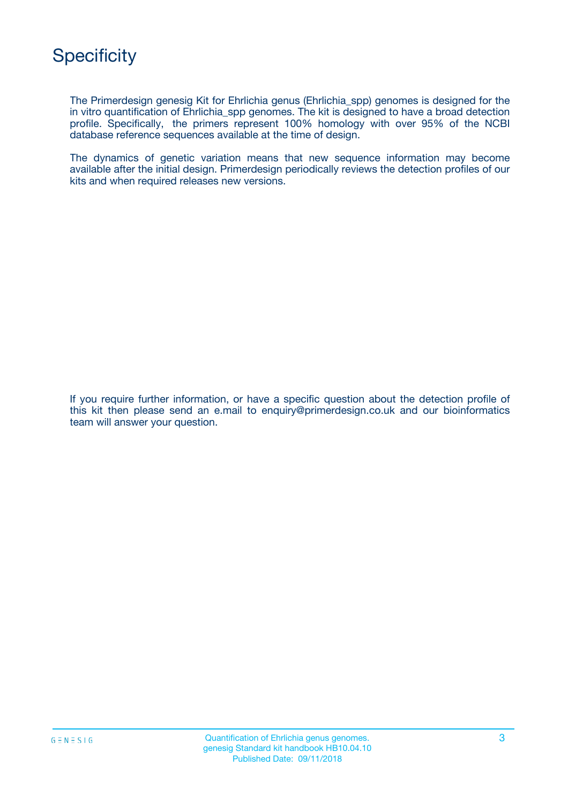The Primerdesign genesig Kit for Ehrlichia genus (Ehrlichia\_spp) genomes is designed for the in vitro quantification of Ehrlichia\_spp genomes. The kit is designed to have a broad detection profile. Specifically, the primers represent 100% homology with over 95% of the NCBI database reference sequences available at the time of design.

The dynamics of genetic variation means that new sequence information may become available after the initial design. Primerdesign periodically reviews the detection profiles of our kits and when required releases new versions.

If you require further information, or have a specific question about the detection profile of this kit then please send an e.mail to enquiry@primerdesign.co.uk and our bioinformatics team will answer your question.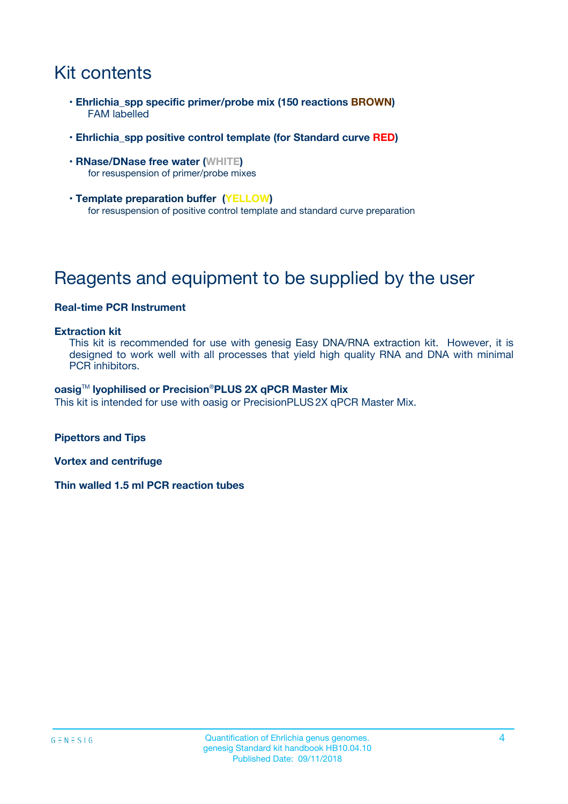# Kit contents

- **Ehrlichia\_spp specific primer/probe mix (150 reactions BROWN)** FAM labelled
- **Ehrlichia\_spp positive control template (for Standard curve RED)**
- **RNase/DNase free water (WHITE)** for resuspension of primer/probe mixes
- **Template preparation buffer (YELLOW)** for resuspension of positive control template and standard curve preparation

# Reagents and equipment to be supplied by the user

### **Real-time PCR Instrument**

#### **Extraction kit**

This kit is recommended for use with genesig Easy DNA/RNA extraction kit. However, it is designed to work well with all processes that yield high quality RNA and DNA with minimal PCR inhibitors.

#### **oasig**TM **lyophilised or Precision**®**PLUS 2X qPCR Master Mix**

This kit is intended for use with oasig or PrecisionPLUS2X qPCR Master Mix.

**Pipettors and Tips**

**Vortex and centrifuge**

**Thin walled 1.5 ml PCR reaction tubes**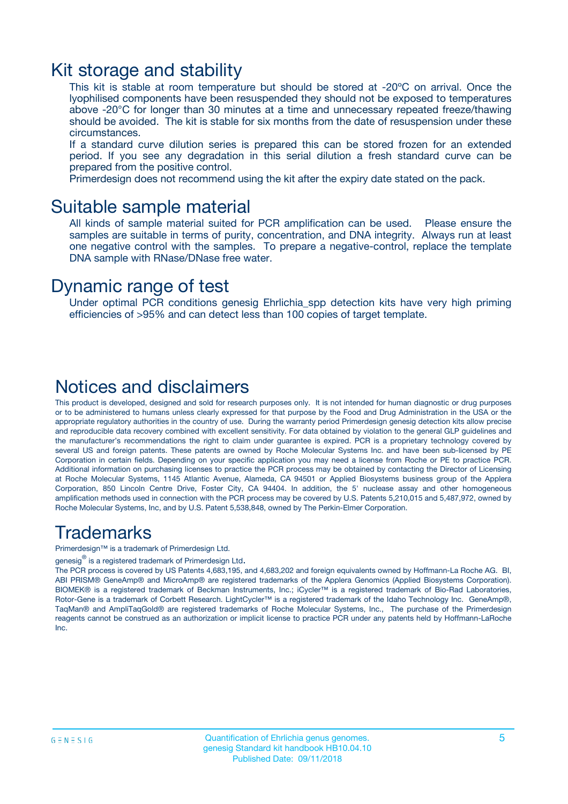### Kit storage and stability

This kit is stable at room temperature but should be stored at -20ºC on arrival. Once the lyophilised components have been resuspended they should not be exposed to temperatures above -20°C for longer than 30 minutes at a time and unnecessary repeated freeze/thawing should be avoided. The kit is stable for six months from the date of resuspension under these circumstances.

If a standard curve dilution series is prepared this can be stored frozen for an extended period. If you see any degradation in this serial dilution a fresh standard curve can be prepared from the positive control.

Primerdesign does not recommend using the kit after the expiry date stated on the pack.

### Suitable sample material

All kinds of sample material suited for PCR amplification can be used. Please ensure the samples are suitable in terms of purity, concentration, and DNA integrity. Always run at least one negative control with the samples. To prepare a negative-control, replace the template DNA sample with RNase/DNase free water.

### Dynamic range of test

Under optimal PCR conditions genesig Ehrlichia\_spp detection kits have very high priming efficiencies of >95% and can detect less than 100 copies of target template.

### Notices and disclaimers

This product is developed, designed and sold for research purposes only. It is not intended for human diagnostic or drug purposes or to be administered to humans unless clearly expressed for that purpose by the Food and Drug Administration in the USA or the appropriate regulatory authorities in the country of use. During the warranty period Primerdesign genesig detection kits allow precise and reproducible data recovery combined with excellent sensitivity. For data obtained by violation to the general GLP guidelines and the manufacturer's recommendations the right to claim under guarantee is expired. PCR is a proprietary technology covered by several US and foreign patents. These patents are owned by Roche Molecular Systems Inc. and have been sub-licensed by PE Corporation in certain fields. Depending on your specific application you may need a license from Roche or PE to practice PCR. Additional information on purchasing licenses to practice the PCR process may be obtained by contacting the Director of Licensing at Roche Molecular Systems, 1145 Atlantic Avenue, Alameda, CA 94501 or Applied Biosystems business group of the Applera Corporation, 850 Lincoln Centre Drive, Foster City, CA 94404. In addition, the 5' nuclease assay and other homogeneous amplification methods used in connection with the PCR process may be covered by U.S. Patents 5,210,015 and 5,487,972, owned by Roche Molecular Systems, Inc, and by U.S. Patent 5,538,848, owned by The Perkin-Elmer Corporation.

### Trademarks

Primerdesign™ is a trademark of Primerdesign Ltd.

genesig $^\circledR$  is a registered trademark of Primerdesign Ltd.

The PCR process is covered by US Patents 4,683,195, and 4,683,202 and foreign equivalents owned by Hoffmann-La Roche AG. BI, ABI PRISM® GeneAmp® and MicroAmp® are registered trademarks of the Applera Genomics (Applied Biosystems Corporation). BIOMEK® is a registered trademark of Beckman Instruments, Inc.; iCycler™ is a registered trademark of Bio-Rad Laboratories, Rotor-Gene is a trademark of Corbett Research. LightCycler™ is a registered trademark of the Idaho Technology Inc. GeneAmp®, TaqMan® and AmpliTaqGold® are registered trademarks of Roche Molecular Systems, Inc., The purchase of the Primerdesign reagents cannot be construed as an authorization or implicit license to practice PCR under any patents held by Hoffmann-LaRoche Inc.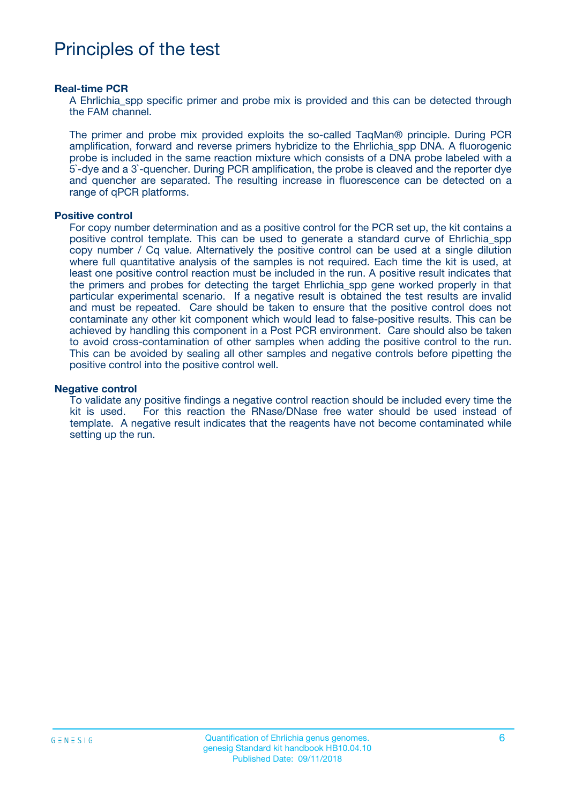## Principles of the test

#### **Real-time PCR**

A Ehrlichia spp specific primer and probe mix is provided and this can be detected through the FAM channel.

The primer and probe mix provided exploits the so-called TaqMan® principle. During PCR amplification, forward and reverse primers hybridize to the Ehrlichia\_spp DNA. A fluorogenic probe is included in the same reaction mixture which consists of a DNA probe labeled with a 5`-dye and a 3`-quencher. During PCR amplification, the probe is cleaved and the reporter dye and quencher are separated. The resulting increase in fluorescence can be detected on a range of qPCR platforms.

#### **Positive control**

For copy number determination and as a positive control for the PCR set up, the kit contains a positive control template. This can be used to generate a standard curve of Ehrlichia\_spp copy number / Cq value. Alternatively the positive control can be used at a single dilution where full quantitative analysis of the samples is not required. Each time the kit is used, at least one positive control reaction must be included in the run. A positive result indicates that the primers and probes for detecting the target Ehrlichia\_spp gene worked properly in that particular experimental scenario. If a negative result is obtained the test results are invalid and must be repeated. Care should be taken to ensure that the positive control does not contaminate any other kit component which would lead to false-positive results. This can be achieved by handling this component in a Post PCR environment. Care should also be taken to avoid cross-contamination of other samples when adding the positive control to the run. This can be avoided by sealing all other samples and negative controls before pipetting the positive control into the positive control well.

#### **Negative control**

To validate any positive findings a negative control reaction should be included every time the kit is used. For this reaction the RNase/DNase free water should be used instead of template. A negative result indicates that the reagents have not become contaminated while setting up the run.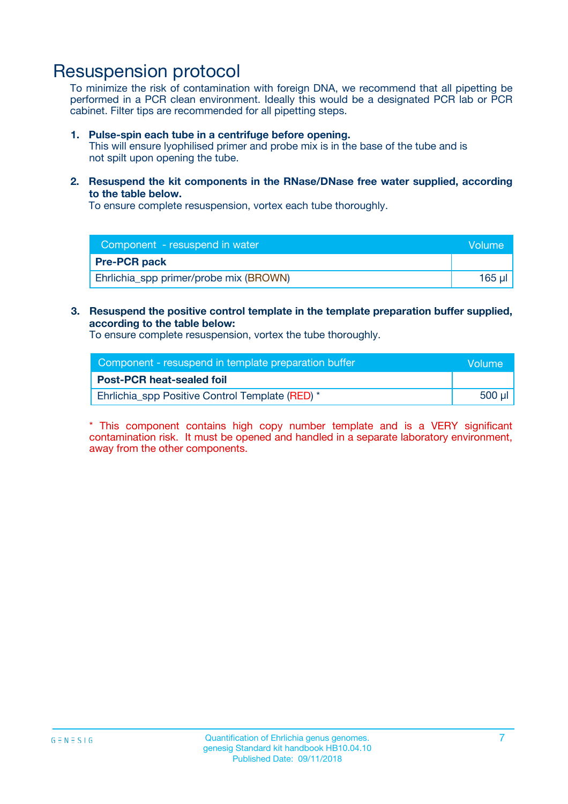### Resuspension protocol

To minimize the risk of contamination with foreign DNA, we recommend that all pipetting be performed in a PCR clean environment. Ideally this would be a designated PCR lab or PCR cabinet. Filter tips are recommended for all pipetting steps.

#### **1. Pulse-spin each tube in a centrifuge before opening.**

This will ensure lyophilised primer and probe mix is in the base of the tube and is not spilt upon opening the tube.

**2. Resuspend the kit components in the RNase/DNase free water supplied, according to the table below.**

To ensure complete resuspension, vortex each tube thoroughly.

| Component - resuspend in water         | Volume |
|----------------------------------------|--------|
| <b>Pre-PCR pack</b>                    |        |
| Ehrlichia_spp primer/probe mix (BROWN) | 165 ul |

#### **3. Resuspend the positive control template in the template preparation buffer supplied, according to the table below:**

To ensure complete resuspension, vortex the tube thoroughly.

| Component - resuspend in template preparation buffer |             |  |
|------------------------------------------------------|-------------|--|
| <b>Post-PCR heat-sealed foil</b>                     |             |  |
| Ehrlichia_spp Positive Control Template (RED) *      | $500$ $\mu$ |  |

\* This component contains high copy number template and is a VERY significant contamination risk. It must be opened and handled in a separate laboratory environment, away from the other components.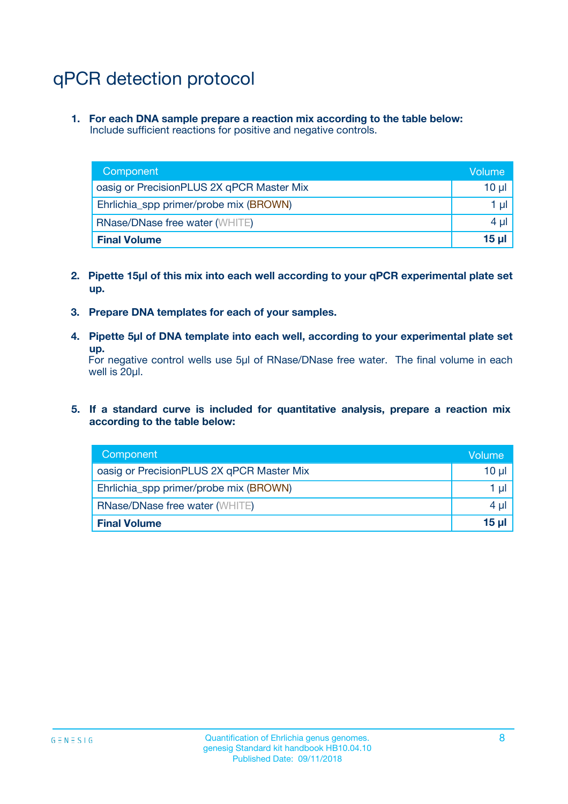# qPCR detection protocol

**1. For each DNA sample prepare a reaction mix according to the table below:** Include sufficient reactions for positive and negative controls.

| Component                                 | Volume       |
|-------------------------------------------|--------------|
| oasig or PrecisionPLUS 2X qPCR Master Mix | 10 $\mu$     |
| Ehrlichia_spp primer/probe mix (BROWN)    | 1 $\mu$      |
| <b>RNase/DNase free water (WHITE)</b>     | $4 \mu$      |
| <b>Final Volume</b>                       | <b>15 ul</b> |

- **2. Pipette 15µl of this mix into each well according to your qPCR experimental plate set up.**
- **3. Prepare DNA templates for each of your samples.**
- **4. Pipette 5µl of DNA template into each well, according to your experimental plate set up.**

For negative control wells use 5µl of RNase/DNase free water. The final volume in each well is 20µl.

**5. If a standard curve is included for quantitative analysis, prepare a reaction mix according to the table below:**

| Component                                 | Volume   |
|-------------------------------------------|----------|
| oasig or PrecisionPLUS 2X qPCR Master Mix | 10 µl    |
| Ehrlichia_spp primer/probe mix (BROWN)    | 1 µI     |
| <b>RNase/DNase free water (WHITE)</b>     | $4 \mu$  |
| <b>Final Volume</b>                       | $15 \mu$ |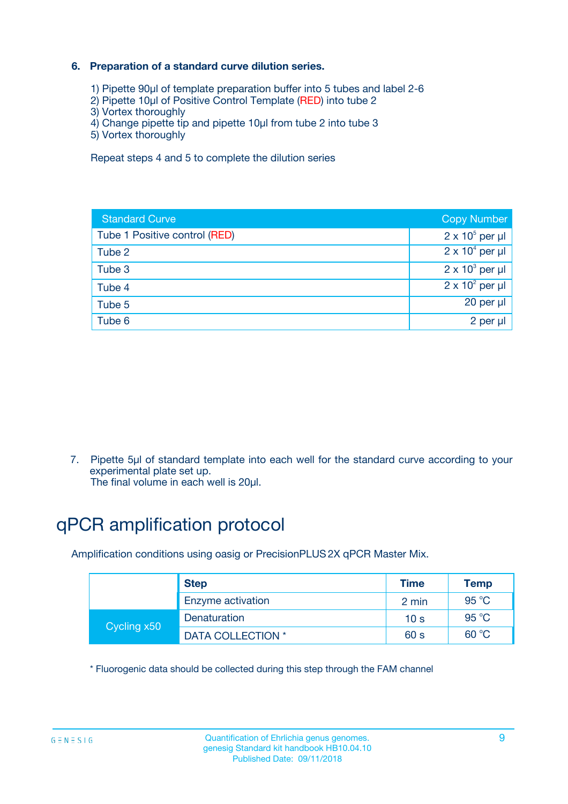### **6. Preparation of a standard curve dilution series.**

- 1) Pipette 90µl of template preparation buffer into 5 tubes and label 2-6
- 2) Pipette 10µl of Positive Control Template (RED) into tube 2
- 3) Vortex thoroughly
- 4) Change pipette tip and pipette 10µl from tube 2 into tube 3
- 5) Vortex thoroughly

Repeat steps 4 and 5 to complete the dilution series

| <b>Standard Curve</b>         | <b>Copy Number</b>     |
|-------------------------------|------------------------|
| Tube 1 Positive control (RED) | $2 \times 10^5$ per µl |
| Tube 2                        | $2 \times 10^4$ per µl |
| Tube 3                        | $2 \times 10^3$ per µl |
| Tube 4                        | $2 \times 10^2$ per µl |
| Tube 5                        | 20 per µl              |
| Tube 6                        | 2 per ul               |

7. Pipette 5µl of standard template into each well for the standard curve according to your experimental plate set up.

The final volume in each well is 20µl.

# qPCR amplification protocol

Amplification conditions using oasig or PrecisionPLUS2X qPCR Master Mix.

|             | <b>Step</b>       | <b>Time</b>     | Temp    |
|-------------|-------------------|-----------------|---------|
|             | Enzyme activation | 2 min           | 95 °C   |
| Cycling x50 | Denaturation      | 10 <sub>s</sub> | 95 $°C$ |
|             | DATA COLLECTION * | 60 s            | 60 °C   |

\* Fluorogenic data should be collected during this step through the FAM channel